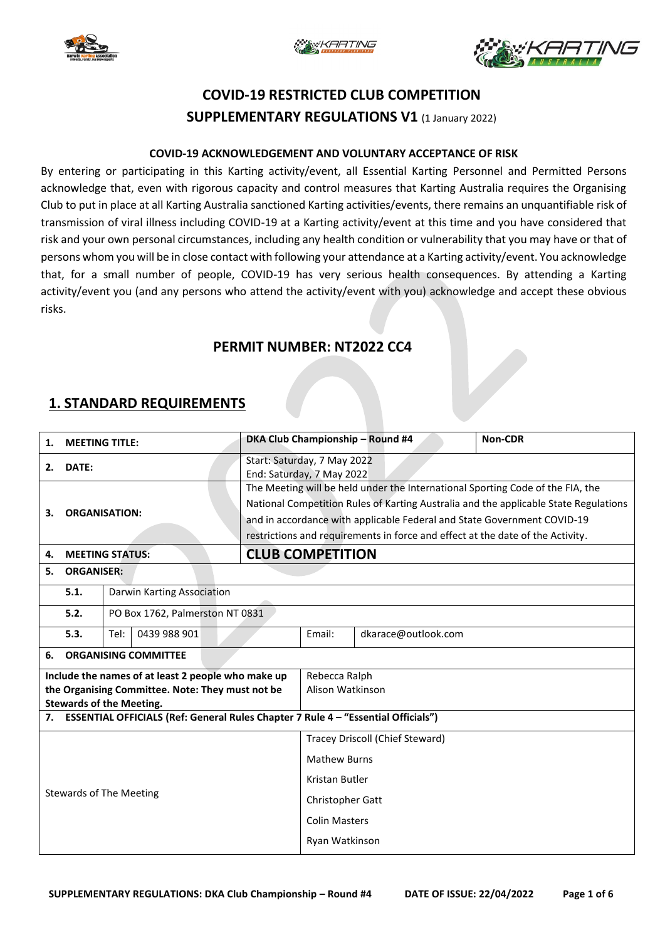





# **COVID-19 RESTRICTED CLUB COMPETITION SUPPLEMENTARY REGULATIONS V1** (1 January 2022)

#### **COVID-19 ACKNOWLEDGEMENT AND VOLUNTARY ACCEPTANCE OF RISK**

By entering or participating in this Karting activity/event, all Essential Karting Personnel and Permitted Persons acknowledge that, even with rigorous capacity and control measures that Karting Australia requires the Organising Club to put in place at all Karting Australia sanctioned Karting activities/events, there remains an unquantifiable risk of transmission of viral illness including COVID-19 at a Karting activity/event at this time and you have considered that risk and your own personal circumstances, including any health condition or vulnerability that you may have or that of persons whom you will be in close contact with following your attendance at a Karting activity/event. You acknowledge that, for a small number of people, COVID-19 has very serious health consequences. By attending a Karting activity/event you (and any persons who attend the activity/event with you) acknowledge and accept these obvious risks.

### **PERMIT NUMBER: NT2022 CC4**

### **1. STANDARD REQUIREMENTS**

| <b>MEETING TITLE:</b><br>1.                                                         |                                                                                   |                                 |  |                                                                                | DKA Club Championship - Round #4                                                     | Non-CDR                         |  |  |  |
|-------------------------------------------------------------------------------------|-----------------------------------------------------------------------------------|---------------------------------|--|--------------------------------------------------------------------------------|--------------------------------------------------------------------------------------|---------------------------------|--|--|--|
| DATE:<br>2.                                                                         |                                                                                   |                                 |  |                                                                                | Start: Saturday, 7 May 2022<br>End: Saturday, 7 May 2022                             |                                 |  |  |  |
|                                                                                     |                                                                                   |                                 |  |                                                                                | The Meeting will be held under the International Sporting Code of the FIA, the       |                                 |  |  |  |
|                                                                                     |                                                                                   |                                 |  |                                                                                | National Competition Rules of Karting Australia and the applicable State Regulations |                                 |  |  |  |
|                                                                                     | <b>ORGANISATION:</b><br>3.                                                        |                                 |  |                                                                                | and in accordance with applicable Federal and State Government COVID-19              |                                 |  |  |  |
|                                                                                     |                                                                                   |                                 |  | restrictions and requirements in force and effect at the date of the Activity. |                                                                                      |                                 |  |  |  |
| 4.                                                                                  | <b>MEETING STATUS:</b>                                                            |                                 |  |                                                                                | <b>CLUB COMPETITION</b>                                                              |                                 |  |  |  |
| <b>ORGANISER:</b><br>5.                                                             |                                                                                   |                                 |  |                                                                                |                                                                                      |                                 |  |  |  |
|                                                                                     | 5.1.                                                                              | Darwin Karting Association      |  |                                                                                |                                                                                      |                                 |  |  |  |
|                                                                                     | 5.2.                                                                              | PO Box 1762, Palmerston NT 0831 |  |                                                                                |                                                                                      |                                 |  |  |  |
|                                                                                     | 5.3.                                                                              | Tel:<br>0439 988 901            |  | Email:                                                                         | dkarace@outlook.com                                                                  |                                 |  |  |  |
| <b>ORGANISING COMMITTEE</b><br>6.                                                   |                                                                                   |                                 |  |                                                                                |                                                                                      |                                 |  |  |  |
| Include the names of at least 2 people who make up                                  |                                                                                   |                                 |  |                                                                                |                                                                                      | Rebecca Ralph                   |  |  |  |
| the Organising Committee. Note: They must not be<br><b>Stewards of the Meeting.</b> |                                                                                   |                                 |  |                                                                                |                                                                                      | Alison Watkinson                |  |  |  |
| 7.                                                                                  | ESSENTIAL OFFICIALS (Ref: General Rules Chapter 7 Rule 4 - "Essential Officials") |                                 |  |                                                                                |                                                                                      |                                 |  |  |  |
|                                                                                     |                                                                                   |                                 |  |                                                                                |                                                                                      | Tracey Driscoll (Chief Steward) |  |  |  |
|                                                                                     |                                                                                   |                                 |  |                                                                                |                                                                                      | <b>Mathew Burns</b>             |  |  |  |
| <b>Stewards of The Meeting</b>                                                      |                                                                                   |                                 |  |                                                                                | Kristan Butler                                                                       |                                 |  |  |  |
|                                                                                     |                                                                                   |                                 |  |                                                                                | Christopher Gatt                                                                     |                                 |  |  |  |
|                                                                                     |                                                                                   |                                 |  |                                                                                |                                                                                      | <b>Colin Masters</b>            |  |  |  |
|                                                                                     |                                                                                   |                                 |  |                                                                                | Ryan Watkinson                                                                       |                                 |  |  |  |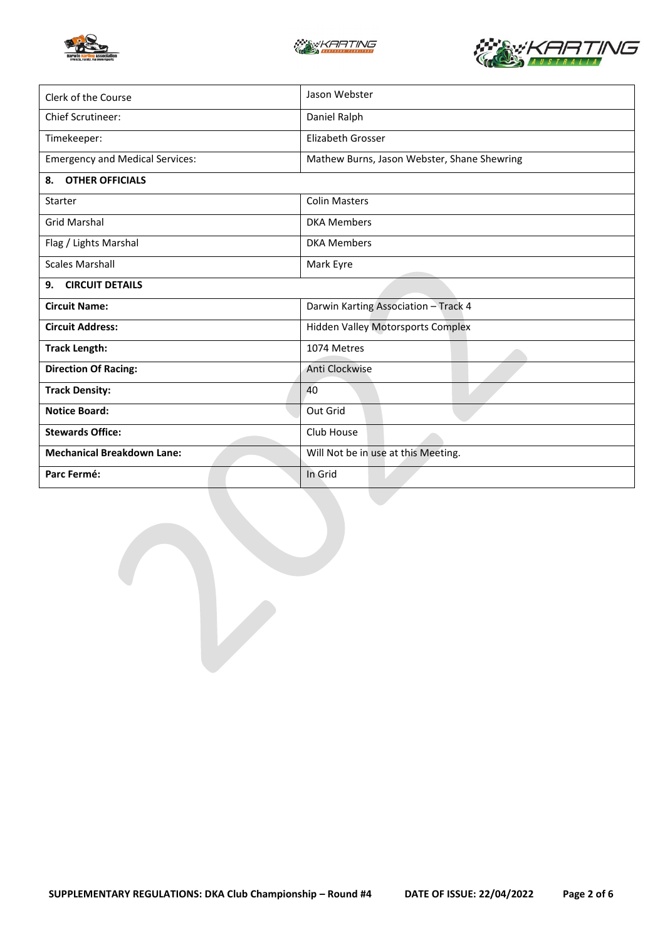





| Clerk of the Course                    | Jason Webster                               |  |  |
|----------------------------------------|---------------------------------------------|--|--|
| <b>Chief Scrutineer:</b>               | Daniel Ralph                                |  |  |
| Timekeeper:                            | Elizabeth Grosser                           |  |  |
| <b>Emergency and Medical Services:</b> | Mathew Burns, Jason Webster, Shane Shewring |  |  |
| <b>OTHER OFFICIALS</b><br>8.           |                                             |  |  |
| <b>Starter</b>                         | <b>Colin Masters</b>                        |  |  |
| <b>Grid Marshal</b>                    | <b>DKA Members</b>                          |  |  |
| Flag / Lights Marshal                  | <b>DKA Members</b>                          |  |  |
| <b>Scales Marshall</b>                 | Mark Eyre                                   |  |  |
| <b>CIRCUIT DETAILS</b><br>9.           |                                             |  |  |
| <b>Circuit Name:</b>                   | Darwin Karting Association - Track 4        |  |  |
| <b>Circuit Address:</b>                | <b>Hidden Valley Motorsports Complex</b>    |  |  |
| <b>Track Length:</b>                   | 1074 Metres                                 |  |  |
| <b>Direction Of Racing:</b>            | Anti Clockwise                              |  |  |
| <b>Track Density:</b>                  | 40                                          |  |  |
| <b>Notice Board:</b>                   | Out Grid                                    |  |  |
| <b>Stewards Office:</b>                | Club House                                  |  |  |
| <b>Mechanical Breakdown Lane:</b>      | Will Not be in use at this Meeting.         |  |  |
| Parc Fermé:                            | In Grid                                     |  |  |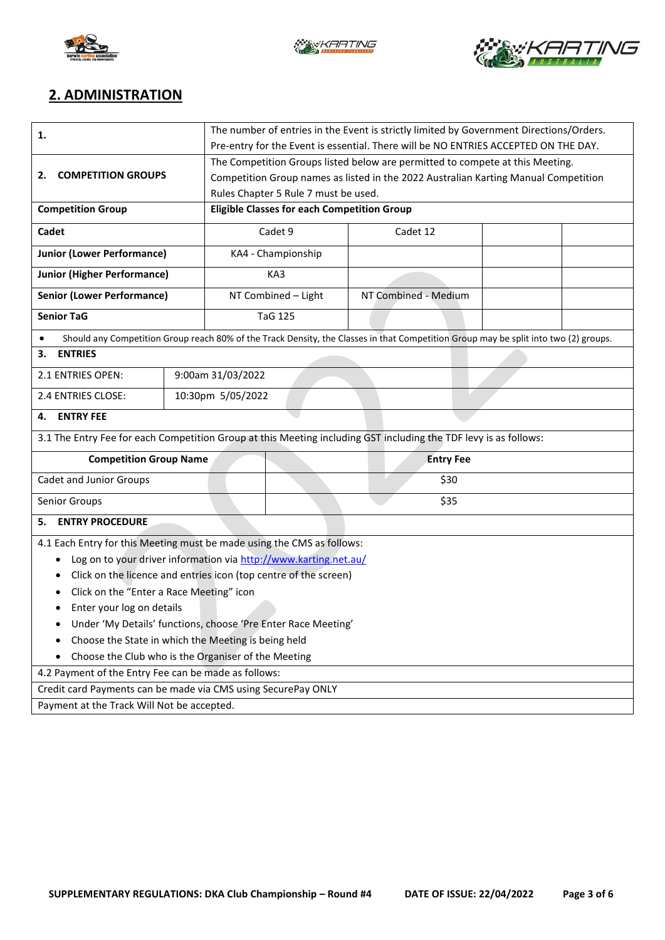





## **2. ADMINISTRATION**

| 1.                                                                                                               | The number of entries in the Event is strictly limited by Government Directions/Orders. |                                                    |                                                                                     |                                                                                                                                      |  |  |  |
|------------------------------------------------------------------------------------------------------------------|-----------------------------------------------------------------------------------------|----------------------------------------------------|-------------------------------------------------------------------------------------|--------------------------------------------------------------------------------------------------------------------------------------|--|--|--|
|                                                                                                                  | Pre-entry for the Event is essential. There will be NO ENTRIES ACCEPTED ON THE DAY.     |                                                    |                                                                                     |                                                                                                                                      |  |  |  |
|                                                                                                                  | The Competition Groups listed below are permitted to compete at this Meeting.           |                                                    |                                                                                     |                                                                                                                                      |  |  |  |
| <b>COMPETITION GROUPS</b><br>2.                                                                                  |                                                                                         |                                                    | Competition Group names as listed in the 2022 Australian Karting Manual Competition |                                                                                                                                      |  |  |  |
|                                                                                                                  |                                                                                         |                                                    | Rules Chapter 5 Rule 7 must be used.                                                |                                                                                                                                      |  |  |  |
| <b>Competition Group</b>                                                                                         |                                                                                         | <b>Eligible Classes for each Competition Group</b> |                                                                                     |                                                                                                                                      |  |  |  |
| Cadet                                                                                                            |                                                                                         | Cadet 9                                            |                                                                                     | Cadet 12                                                                                                                             |  |  |  |
| <b>Junior (Lower Performance)</b>                                                                                |                                                                                         |                                                    | KA4 - Championship                                                                  |                                                                                                                                      |  |  |  |
| <b>Junior (Higher Performance)</b>                                                                               |                                                                                         | KA3                                                |                                                                                     |                                                                                                                                      |  |  |  |
| <b>Senior (Lower Performance)</b>                                                                                |                                                                                         | NT Combined - Light                                |                                                                                     | NT Combined - Medium                                                                                                                 |  |  |  |
| <b>Senior TaG</b>                                                                                                |                                                                                         |                                                    | <b>TaG 125</b>                                                                      |                                                                                                                                      |  |  |  |
|                                                                                                                  |                                                                                         |                                                    |                                                                                     | Should any Competition Group reach 80% of the Track Density, the Classes in that Competition Group may be split into two (2) groups. |  |  |  |
| <b>ENTRIES</b><br>3.                                                                                             |                                                                                         |                                                    |                                                                                     |                                                                                                                                      |  |  |  |
| 2.1 ENTRIES OPEN:                                                                                                | 9:00am 31/03/2022                                                                       |                                                    |                                                                                     |                                                                                                                                      |  |  |  |
| 2.4 ENTRIES CLOSE:                                                                                               |                                                                                         | 10:30pm 5/05/2022                                  |                                                                                     |                                                                                                                                      |  |  |  |
| <b>ENTRY FEE</b><br>4.                                                                                           |                                                                                         |                                                    |                                                                                     |                                                                                                                                      |  |  |  |
| 3.1 The Entry Fee for each Competition Group at this Meeting including GST including the TDF levy is as follows: |                                                                                         |                                                    |                                                                                     |                                                                                                                                      |  |  |  |
| <b>Competition Group Name</b>                                                                                    |                                                                                         | <b>Entry Fee</b>                                   |                                                                                     |                                                                                                                                      |  |  |  |
| Cadet and Junior Groups                                                                                          |                                                                                         |                                                    | \$30                                                                                |                                                                                                                                      |  |  |  |
| Senior Groups                                                                                                    | \$35                                                                                    |                                                    |                                                                                     |                                                                                                                                      |  |  |  |
| <b>ENTRY PROCEDURE</b><br>5.                                                                                     |                                                                                         |                                                    |                                                                                     |                                                                                                                                      |  |  |  |
| 4.1 Each Entry for this Meeting must be made using the CMS as follows:                                           |                                                                                         |                                                    |                                                                                     |                                                                                                                                      |  |  |  |
| Log on to your driver information via http://www.karting.net.au/<br>٠                                            |                                                                                         |                                                    |                                                                                     |                                                                                                                                      |  |  |  |
| Click on the licence and entries icon (top centre of the screen)<br>٠                                            |                                                                                         |                                                    |                                                                                     |                                                                                                                                      |  |  |  |
| Click on the "Enter a Race Meeting" icon                                                                         |                                                                                         |                                                    |                                                                                     |                                                                                                                                      |  |  |  |
| Enter your log on details                                                                                        |                                                                                         |                                                    |                                                                                     |                                                                                                                                      |  |  |  |
| Under 'My Details' functions, choose 'Pre Enter Race Meeting'                                                    |                                                                                         |                                                    |                                                                                     |                                                                                                                                      |  |  |  |
| Choose the State in which the Meeting is being held<br>٠                                                         |                                                                                         |                                                    |                                                                                     |                                                                                                                                      |  |  |  |
| Choose the Club who is the Organiser of the Meeting                                                              |                                                                                         |                                                    |                                                                                     |                                                                                                                                      |  |  |  |
| 4.2 Payment of the Entry Fee can be made as follows:                                                             |                                                                                         |                                                    |                                                                                     |                                                                                                                                      |  |  |  |
| Credit card Payments can be made via CMS using SecurePay ONLY                                                    |                                                                                         |                                                    |                                                                                     |                                                                                                                                      |  |  |  |
| Payment at the Track Will Not be accepted.                                                                       |                                                                                         |                                                    |                                                                                     |                                                                                                                                      |  |  |  |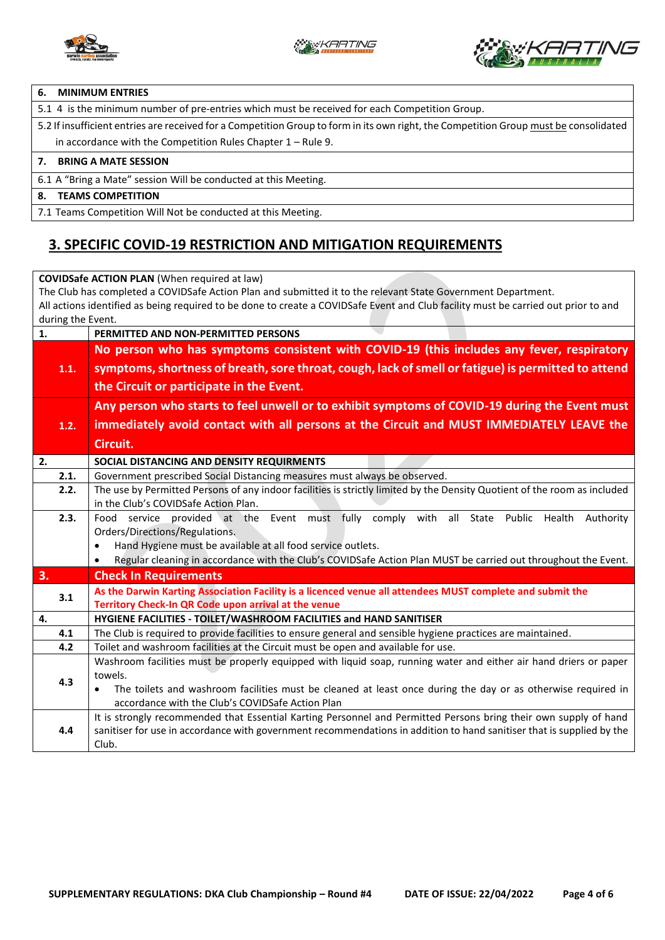



#### **6. MINIMUM ENTRIES**

5.1 4 is the minimum number of pre-entries which must be received for each Competition Group.

5.2 If insufficient entries are received for a Competition Group to form in its own right, the Competition Group must be consolidated in accordance with the Competition Rules Chapter 1 – Rule 9.

#### **7. BRING A MATE SESSION**

6.1 A "Bring a Mate" session Will be conducted at this Meeting.

#### **8. TEAMS COMPETITION**

7.1 Teams Competition Will Not be conducted at this Meeting.

### **3. SPECIFIC COVID-19 RESTRICTION AND MITIGATION REQUIREMENTS**

**COVIDSafe ACTION PLAN** (When required at law) The Club has completed a COVIDSafe Action Plan and submitted it to the relevant State Government Department. All actions identified as being required to be done to create a COVIDSafe Event and Club facility must be carried out prior to and during the Event. **1. PERMITTED AND NON-PERMITTED PERSONS 1.1. No person who has symptoms consistent with COVID-19 (this includes any fever, respiratory symptoms, shortness of breath, sore throat, cough, lack of smell or fatigue) is permitted to attend the Circuit or participate in the Event. 1.2. Any person who starts to feel unwell or to exhibit symptoms of COVID-19 during the Event must immediately avoid contact with all persons at the Circuit and MUST IMMEDIATELY LEAVE the Circuit. 2. SOCIAL DISTANCING AND DENSITY REQUIRMENTS**  2.1. Government prescribed Social Distancing measures must always be observed. **2.2.** The use by Permitted Persons of any indoor facilities is strictly limited by the Density Quotient of the room as included in the Club's COVIDSafe Action Plan. **2.3.** Food service provided at the Event must fully comply with all State Public Health Authority Orders/Directions/Regulations. • Hand Hygiene must be available at all food service outlets. • Regular cleaning in accordance with the Club's COVIDSafe Action Plan MUST be carried out throughout the Event. **3. Check In Requirements 3.1 As the Darwin Karting Association Facility is a licenced venue all attendees MUST complete and submit the Territory Check-In QR Code upon arrival at the venue 4. HYGIENE FACILITIES - TOILET/WASHROOM FACILITIES and HAND SANITISER 4.1** The Club is required to provide facilities to ensure general and sensible hygiene practices are maintained. **4.2** Toilet and washroom facilities at the Circuit must be open and available for use. **4.3** Washroom facilities must be properly equipped with liquid soap, running water and either air hand driers or paper towels. • The toilets and washroom facilities must be cleaned at least once during the day or as otherwise required in accordance with the Club's COVIDSafe Action Plan **4.4** It is strongly recommended that Essential Karting Personnel and Permitted Persons bring their own supply of hand sanitiser for use in accordance with government recommendations in addition to hand sanitiser that is supplied by the Club.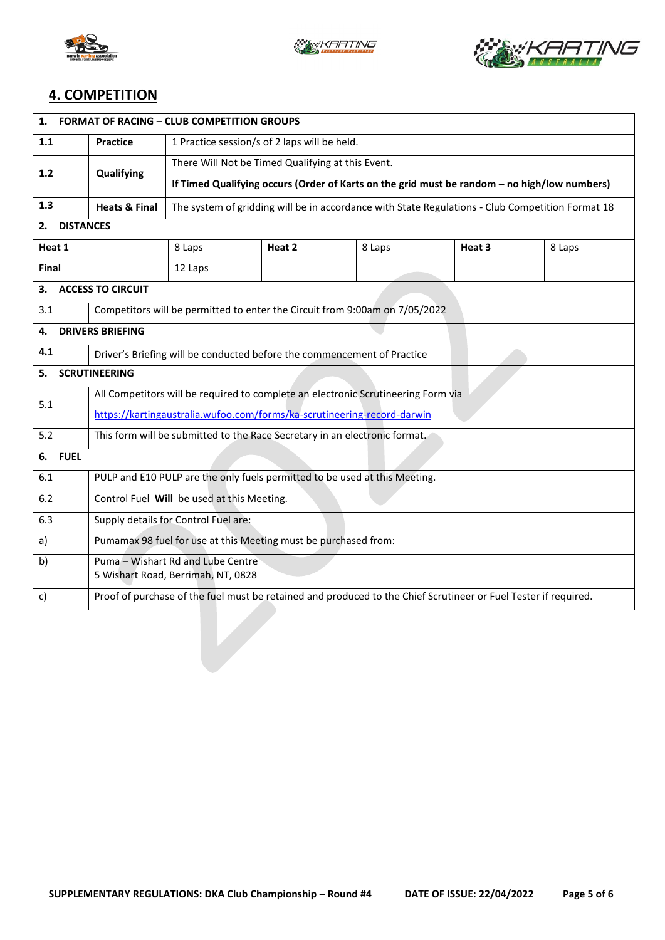





## **4. COMPETITION**

| <b>FORMAT OF RACING - CLUB COMPETITION GROUPS</b><br>1.                           |                                                                                   |                                                                                                  |        |        |                                                                                                                 |        |  |  |  |
|-----------------------------------------------------------------------------------|-----------------------------------------------------------------------------------|--------------------------------------------------------------------------------------------------|--------|--------|-----------------------------------------------------------------------------------------------------------------|--------|--|--|--|
| 1.1                                                                               | <b>Practice</b>                                                                   | 1 Practice session/s of 2 laps will be held.                                                     |        |        |                                                                                                                 |        |  |  |  |
| 1.2                                                                               | Qualifying                                                                        | There Will Not be Timed Qualifying at this Event.                                                |        |        |                                                                                                                 |        |  |  |  |
|                                                                                   |                                                                                   | If Timed Qualifying occurs (Order of Karts on the grid must be random - no high/low numbers)     |        |        |                                                                                                                 |        |  |  |  |
| 1.3                                                                               | <b>Heats &amp; Final</b>                                                          | The system of gridding will be in accordance with State Regulations - Club Competition Format 18 |        |        |                                                                                                                 |        |  |  |  |
| <b>DISTANCES</b><br>2.                                                            |                                                                                   |                                                                                                  |        |        |                                                                                                                 |        |  |  |  |
| Heat 1                                                                            |                                                                                   | 8 Laps                                                                                           | Heat 2 | 8 Laps | Heat 3                                                                                                          | 8 Laps |  |  |  |
| Final                                                                             |                                                                                   | 12 Laps                                                                                          |        |        |                                                                                                                 |        |  |  |  |
| 3.                                                                                | <b>ACCESS TO CIRCUIT</b>                                                          |                                                                                                  |        |        |                                                                                                                 |        |  |  |  |
| 3.1                                                                               |                                                                                   | Competitors will be permitted to enter the Circuit from 9:00am on 7/05/2022                      |        |        |                                                                                                                 |        |  |  |  |
| 4.                                                                                | <b>DRIVERS BRIEFING</b>                                                           |                                                                                                  |        |        |                                                                                                                 |        |  |  |  |
| 4.1                                                                               | Driver's Briefing will be conducted before the commencement of Practice           |                                                                                                  |        |        |                                                                                                                 |        |  |  |  |
| <b>SCRUTINEERING</b><br>5.                                                        |                                                                                   |                                                                                                  |        |        |                                                                                                                 |        |  |  |  |
| 5.1                                                                               | All Competitors will be required to complete an electronic Scrutineering Form via |                                                                                                  |        |        |                                                                                                                 |        |  |  |  |
|                                                                                   | https://kartingaustralia.wufoo.com/forms/ka-scrutineering-record-darwin           |                                                                                                  |        |        |                                                                                                                 |        |  |  |  |
| This form will be submitted to the Race Secretary in an electronic format.<br>5.2 |                                                                                   |                                                                                                  |        |        |                                                                                                                 |        |  |  |  |
| <b>FUEL</b><br>6.                                                                 |                                                                                   |                                                                                                  |        |        |                                                                                                                 |        |  |  |  |
| 6.1                                                                               | PULP and E10 PULP are the only fuels permitted to be used at this Meeting.        |                                                                                                  |        |        |                                                                                                                 |        |  |  |  |
| 6.2                                                                               | Control Fuel Will be used at this Meeting.                                        |                                                                                                  |        |        |                                                                                                                 |        |  |  |  |
| 6.3                                                                               | Supply details for Control Fuel are:                                              |                                                                                                  |        |        |                                                                                                                 |        |  |  |  |
| Pumamax 98 fuel for use at this Meeting must be purchased from:<br>a)             |                                                                                   |                                                                                                  |        |        |                                                                                                                 |        |  |  |  |
| b)                                                                                | Puma - Wishart Rd and Lube Centre                                                 |                                                                                                  |        |        |                                                                                                                 |        |  |  |  |
| 5 Wishart Road, Berrimah, NT, 0828                                                |                                                                                   |                                                                                                  |        |        |                                                                                                                 |        |  |  |  |
| C)                                                                                |                                                                                   |                                                                                                  |        |        | Proof of purchase of the fuel must be retained and produced to the Chief Scrutineer or Fuel Tester if required. |        |  |  |  |